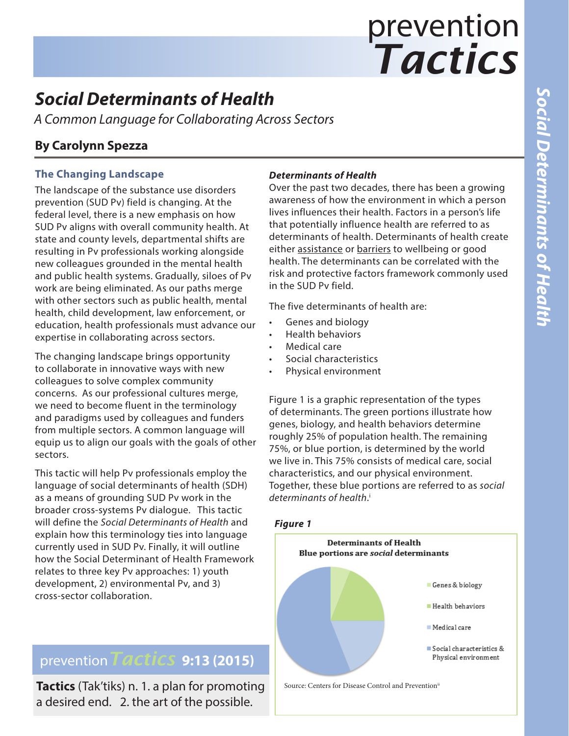# *Tactics* prevention

# *Social Determinants of Health*

*A Common Language for Collaborating Across Sectors*

## **By Carolynn Spezza**

### **The Changing Landscape**

The landscape of the substance use disorders prevention (SUD Pv) field is changing. At the federal level, there is a new emphasis on how SUD Pv aligns with overall community health. At state and county levels, departmental shifts are resulting in Pv professionals working alongside new colleagues grounded in the mental health and public health systems. Gradually, siloes of Pv work are being eliminated. As our paths merge with other sectors such as public health, mental health, child development, law enforcement, or education, health professionals must advance our expertise in collaborating across sectors.

The changing landscape brings opportunity to collaborate in innovative ways with new colleagues to solve complex community concerns. As our professional cultures merge, we need to become fluent in the terminology and paradigms used by colleagues and funders from multiple sectors. A common language will equip us to align our goals with the goals of other sectors.

This tactic will help Pv professionals employ the language of social determinants of health (SDH) as a means of grounding SUD Pv work in the broader cross-systems Pv dialogue. This tactic will define the *Social Determinants of Health* and explain how this terminology ties into language currently used in SUD Pv. Finally, it will outline how the Social Determinant of Health Framework relates to three key Pv approaches: 1) youth development, 2) environmental Pv, and 3) cross-sector collaboration.

# prevention*Tactics* **9:13 (2015)**

**Tactics** (Tak'tiks) n. 1. a plan for promoting a desired end. 2. the art of the possible.

#### *Determinants of Health*

Over the past two decades, there has been a growing awareness of how the environment in which a person lives influences their health. Factors in a person's life that potentially influence health are referred to as determinants of health. Determinants of health create either assistance or barriers to wellbeing or good health. The determinants can be correlated with the risk and protective factors framework commonly used in the SUD Pv field.

The five determinants of health are:

- Genes and biology
- Health behaviors
- Medical care
- Social characteristics
- Physical environment

Figure 1 is a graphic representation of the types of determinants. The green portions illustrate how genes, biology, and health behaviors determine roughly 25% of population health. The remaining 75%, or blue portion, is determined by the world we live in. This 75% consists of medical care, social characteristics, and our physical environment. Together, these blue portions are referred to as *social determinants of health*. i





Source: Centers for Disease Control and Preventionii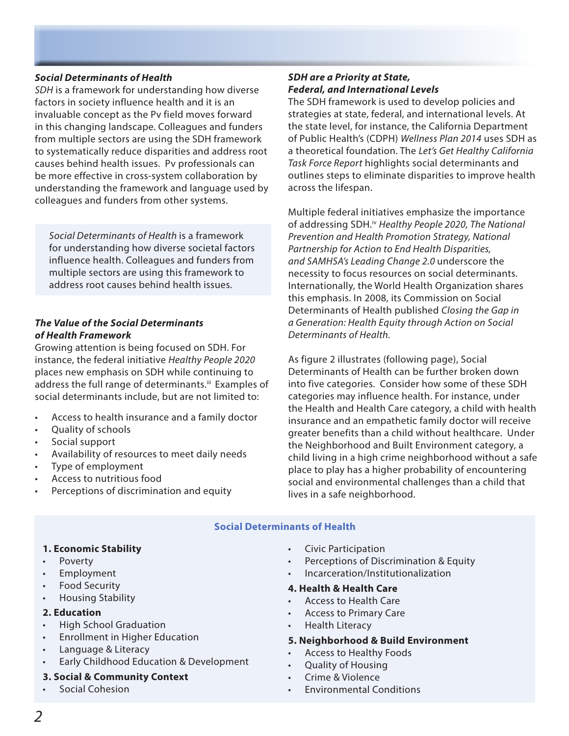#### *Social Determinants of Health*

*SDH* is a framework for understanding how diverse factors in society influence health and it is an invaluable concept as the Pv field moves forward in this changing landscape. Colleagues and funders from multiple sectors are using the SDH framework to systematically reduce disparities and address root causes behind health issues. Pv professionals can be more effective in cross-system collaboration by understanding the framework and language used by colleagues and funders from other systems.

*Social Determinants of Health* is a framework for understanding how diverse societal factors influence health. Colleagues and funders from multiple sectors are using this framework to address root causes behind health issues.

#### *The Value of the Social Determinants of Health Framework*

Growing attention is being focused on SDH. For instance, the federal initiative *Healthy People 2020*  places new emphasis on SDH while continuing to address the full range of determinants.iii Examples of social determinants include, but are not limited to:

- Access to health insurance and a family doctor
- Quality of schools
- Social support
- Availability of resources to meet daily needs
- Type of employment
- Access to nutritious food
- Perceptions of discrimination and equity

#### *SDH are a Priority at State, Federal, and International Levels*

The SDH framework is used to develop policies and strategies at state, federal, and international levels. At the state level, for instance, the California Department of Public Health's (CDPH) *Wellness Plan 2014* uses SDH as a theoretical foundation. The *Let's Get Healthy California Task Force Report* highlights social determinants and outlines steps to eliminate disparities to improve health across the lifespan.

Multiple federal initiatives emphasize the importance of addressing SDH.iv *Healthy People 2020, The National Prevention and Health Promotion Strategy, National Partnership for Action to End Health Disparities, and SAMHSA's Leading Change 2.0* underscore the necessity to focus resources on social determinants. Internationally, the World Health Organization shares this emphasis. In 2008, its Commission on Social Determinants of Health published *Closing the Gap in a Generation: Health Equity through Action on Social Determinants of Health.*

As figure 2 illustrates (following page), Social Determinants of Health can be further broken down into five categories. Consider how some of these SDH categories may influence health. For instance, under the Health and Health Care category, a child with health insurance and an empathetic family doctor will receive greater benefits than a child without healthcare. Under the Neighborhood and Built Environment category, a child living in a high crime neighborhood without a safe place to play has a higher probability of encountering social and environmental challenges than a child that lives in a safe neighborhood.

#### **Social Determinants of Health**

#### **1. Economic Stability**

- Poverty
- **Employment**
- Food Security
- Housing Stability
- **2. Education**
- High School Graduation
- Enrollment in Higher Education
- Language & Literacy
- Early Childhood Education & Development

#### **3. Social & Community Context**

• Social Cohesion

- Civic Participation
- Perceptions of Discrimination & Equity
- Incarceration/Institutionalization

#### **4. Health & Health Care**

- Access to Health Care
- Access to Primary Care
- Health Literacy

#### **5. Neighborhood & Build Environment**

- Access to Healthy Foods
- Quality of Housing
- Crime & Violence
- Environmental Conditions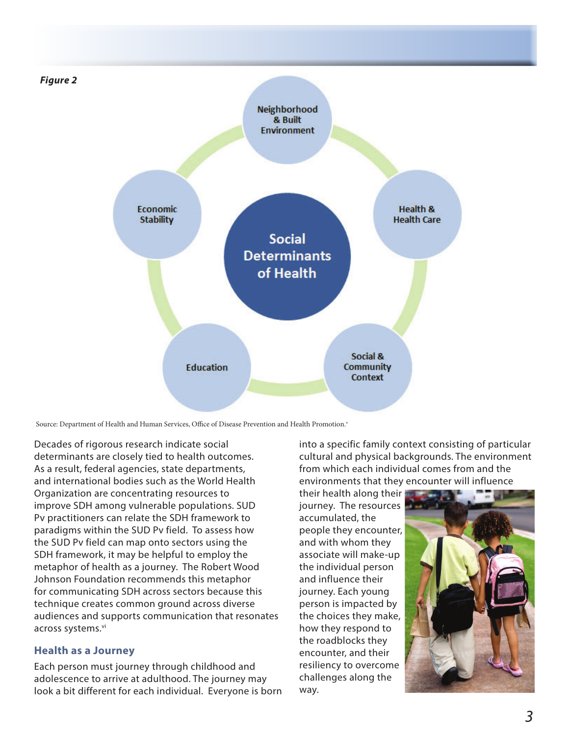

Source: Department of Health and Human Services, Office of Disease Prevention and Health Promotion.<sup>v</sup>

Decades of rigorous research indicate social determinants are closely tied to health outcomes. As a result, federal agencies, state departments, and international bodies such as the World Health Organization are concentrating resources to improve SDH among vulnerable populations. SUD Pv practitioners can relate the SDH framework to paradigms within the SUD Pv field. To assess how the SUD Pv field can map onto sectors using the SDH framework, it may be helpful to employ the metaphor of health as a journey. The Robert Wood Johnson Foundation recommends this metaphor for communicating SDH across sectors because this technique creates common ground across diverse audiences and supports communication that resonates across systems.<sup>vi</sup>

#### **Health as a Journey**

Each person must journey through childhood and adolescence to arrive at adulthood. The journey may look a bit different for each individual. Everyone is born into a specific family context consisting of particular cultural and physical backgrounds. The environment from which each individual comes from and the environments that they encounter will influence

their health along their journey. The resources accumulated, the people they encounter, and with whom they associate will make-up the individual person and influence their journey. Each young person is impacted by the choices they make, how they respond to the roadblocks they encounter, and their resiliency to overcome challenges along the way.

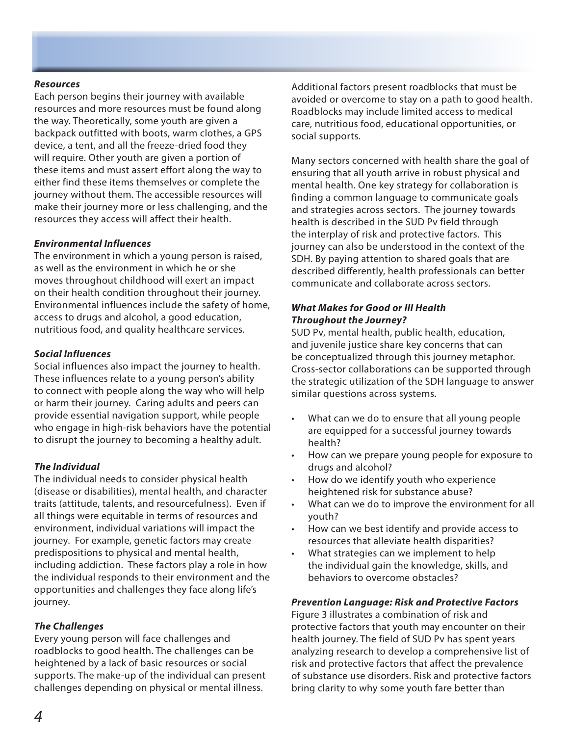#### *Resources*

Each person begins their journey with available resources and more resources must be found along the way. Theoretically, some youth are given a backpack outfitted with boots, warm clothes, a GPS device, a tent, and all the freeze-dried food they will require. Other youth are given a portion of these items and must assert effort along the way to either find these items themselves or complete the journey without them. The accessible resources will make their journey more or less challenging, and the resources they access will affect their health.

#### *Environmental Influences*

The environment in which a young person is raised, as well as the environment in which he or she moves throughout childhood will exert an impact on their health condition throughout their journey. Environmental influences include the safety of home, access to drugs and alcohol, a good education, nutritious food, and quality healthcare services.

#### *Social Influences*

Social influences also impact the journey to health. These influences relate to a young person's ability to connect with people along the way who will help or harm their journey. Caring adults and peers can provide essential navigation support, while people who engage in high-risk behaviors have the potential to disrupt the journey to becoming a healthy adult.

#### *The Individual*

The individual needs to consider physical health (disease or disabilities), mental health, and character traits (attitude, talents, and resourcefulness). Even if all things were equitable in terms of resources and environment, individual variations will impact the journey. For example, genetic factors may create predispositions to physical and mental health, including addiction. These factors play a role in how the individual responds to their environment and the opportunities and challenges they face along life's journey.

#### *The Challenges*

Every young person will face challenges and roadblocks to good health. The challenges can be heightened by a lack of basic resources or social supports. The make-up of the individual can present challenges depending on physical or mental illness.

Additional factors present roadblocks that must be avoided or overcome to stay on a path to good health. Roadblocks may include limited access to medical care, nutritious food, educational opportunities, or social supports.

Many sectors concerned with health share the goal of ensuring that all youth arrive in robust physical and mental health. One key strategy for collaboration is finding a common language to communicate goals and strategies across sectors. The journey towards health is described in the SUD Pv field through the interplay of risk and protective factors. This journey can also be understood in the context of the SDH. By paying attention to shared goals that are described differently, health professionals can better communicate and collaborate across sectors.

#### *What Makes for Good or Ill Health Throughout the Journey?*

SUD Pv, mental health, public health, education, and juvenile justice share key concerns that can be conceptualized through this journey metaphor. Cross-sector collaborations can be supported through the strategic utilization of the SDH language to answer similar questions across systems.

- What can we do to ensure that all young people are equipped for a successful journey towards health?
- How can we prepare young people for exposure to drugs and alcohol?
- How do we identify youth who experience heightened risk for substance abuse?
- What can we do to improve the environment for all youth?
- How can we best identify and provide access to resources that alleviate health disparities?
- What strategies can we implement to help the individual gain the knowledge, skills, and behaviors to overcome obstacles?

#### *Prevention Language: Risk and Protective Factors*

Figure 3 illustrates a combination of risk and protective factors that youth may encounter on their health journey. The field of SUD Pv has spent years analyzing research to develop a comprehensive list of risk and protective factors that affect the prevalence of substance use disorders. Risk and protective factors bring clarity to why some youth fare better than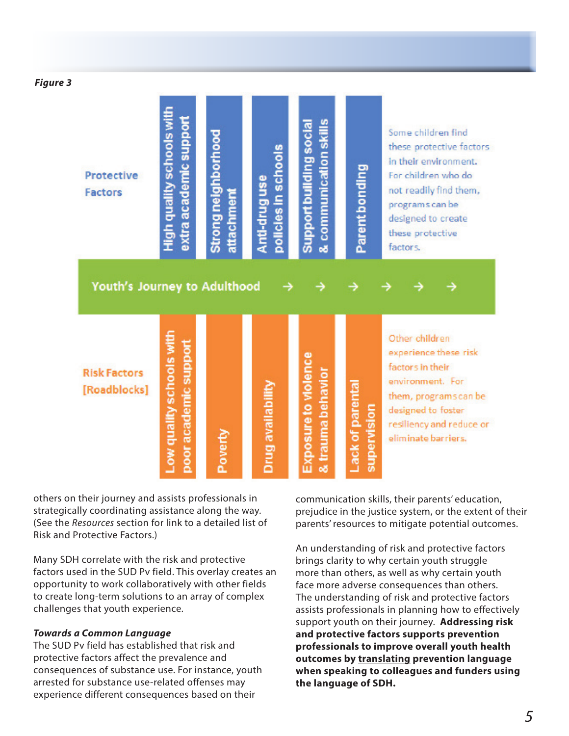*Figure 3*

| <b>Protective</b><br><b>Factors</b><br>Youth's Journey to Adulthood | High quality schools with<br>extra academic support | Strong neighborhood<br>attachment | policies in schools<br>Anti-druguse | & communication skills<br>Support building social | Parent bonding                 | Some children find<br>these protective factors<br>in their environment.<br>For children who do<br>not readily find them,<br>programs can be<br>designed to create<br>these protective<br>factors. |
|---------------------------------------------------------------------|-----------------------------------------------------|-----------------------------------|-------------------------------------|---------------------------------------------------|--------------------------------|---------------------------------------------------------------------------------------------------------------------------------------------------------------------------------------------------|
| <b>Risk Factors</b><br>[Roadblocks]                                 | Low quality schools with<br>poor academic support   | Poverty                           | Drug availability                   | <b>Exposure to violence</b><br>& trauma behavior  | Lack of parenta<br>supervision | Other children<br>experience these risk<br>factors in their<br>environment. For<br>them, programscan be<br>designed to foster<br>resiliency and reduce or<br>eliminate barriers.                  |

others on their journey and assists professionals in strategically coordinating assistance along the way. (See the *Resources* section for link to a detailed list of Risk and Protective Factors.)

Many SDH correlate with the risk and protective factors used in the SUD Pv field. This overlay creates an opportunity to work collaboratively with other fields to create long-term solutions to an array of complex challenges that youth experience.

#### *Towards a Common Language*

The SUD Pv field has established that risk and protective factors affect the prevalence and consequences of substance use. For instance, youth arrested for substance use-related offenses may experience different consequences based on their

communication skills, their parents' education, prejudice in the justice system, or the extent of their parents' resources to mitigate potential outcomes.

An understanding of risk and protective factors brings clarity to why certain youth struggle more than others, as well as why certain youth face more adverse consequences than others. The understanding of risk and protective factors assists professionals in planning how to effectively support youth on their journey. **Addressing risk and protective factors supports prevention professionals to improve overall youth health outcomes by translating prevention language when speaking to colleagues and funders using the language of SDH.**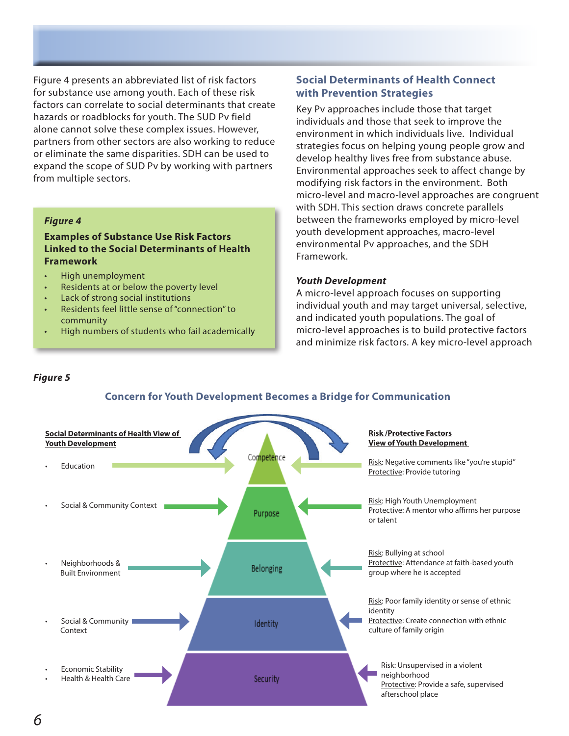Figure 4 presents an abbreviated list of risk factors for substance use among youth. Each of these risk factors can correlate to social determinants that create hazards or roadblocks for youth. The SUD Pv field alone cannot solve these complex issues. However, partners from other sectors are also working to reduce or eliminate the same disparities. SDH can be used to expand the scope of SUD Pv by working with partners from multiple sectors.

#### *Figure 4*

#### **Examples of Substance Use Risk Factors Linked to the Social Determinants of Health Framework**

- High unemployment
- Residents at or below the poverty level
- Lack of strong social institutions
- Residents feel little sense of "connection" to community
- High numbers of students who fail academically

#### **Social Determinants of Health Connect with Prevention Strategies**

Key Pv approaches include those that target individuals and those that seek to improve the environment in which individuals live. Individual strategies focus on helping young people grow and develop healthy lives free from substance abuse. Environmental approaches seek to affect change by modifying risk factors in the environment. Both micro-level and macro-level approaches are congruent with SDH. This section draws concrete parallels between the frameworks employed by micro-level youth development approaches, macro-level environmental Pv approaches, and the SDH Framework.

#### *Youth Development*

A micro-level approach focuses on supporting individual youth and may target universal, selective, and indicated youth populations. The goal of micro-level approaches is to build protective factors and minimize risk factors. A key micro-level approach

#### *Figure 5*



#### **Concern for Youth Development Becomes a Bridge for Communication**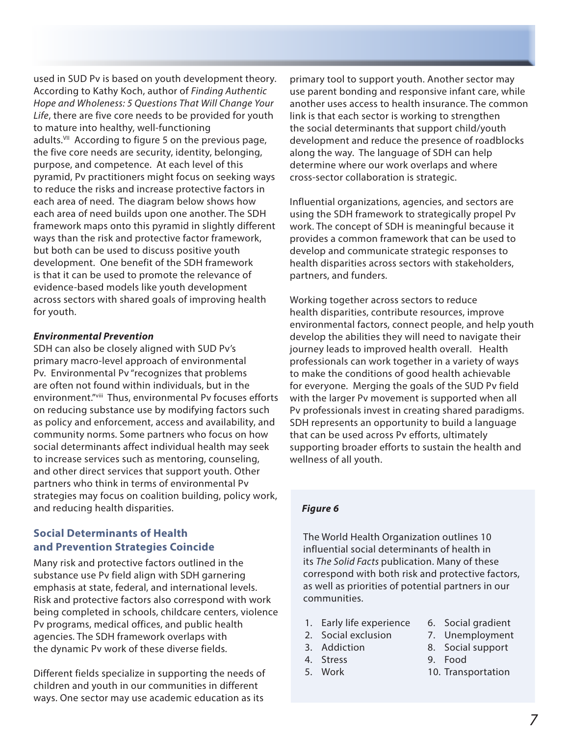used in SUD Pv is based on youth development theory. According to Kathy Koch, author of *Finding Authentic Hope and Wholeness: 5 Questions That Will Change Your Life*, there are five core needs to be provided for youth to mature into healthy, well-functioning adults.<sup>VII</sup> According to figure 5 on the previous page, the five core needs are security, identity, belonging, purpose, and competence. At each level of this pyramid, Pv practitioners might focus on seeking ways to reduce the risks and increase protective factors in each area of need. The diagram below shows how each area of need builds upon one another. The SDH framework maps onto this pyramid in slightly different ways than the risk and protective factor framework, but both can be used to discuss positive youth development. One benefit of the SDH framework is that it can be used to promote the relevance of evidence-based models like youth development across sectors with shared goals of improving health for youth.

#### *Environmental Prevention*

SDH can also be closely aligned with SUD Pv's primary macro-level approach of environmental Pv. Environmental Pv "recognizes that problems are often not found within individuals, but in the environment."viii Thus, environmental Pv focuses efforts on reducing substance use by modifying factors such as policy and enforcement, access and availability, and community norms. Some partners who focus on how social determinants affect individual health may seek to increase services such as mentoring, counseling, and other direct services that support youth. Other partners who think in terms of environmental Pv strategies may focus on coalition building, policy work, and reducing health disparities.

#### **Social Determinants of Health and Prevention Strategies Coincide**

Many risk and protective factors outlined in the substance use Pv field align with SDH garnering emphasis at state, federal, and international levels. Risk and protective factors also correspond with work being completed in schools, childcare centers, violence Pv programs, medical offices, and public health agencies. The SDH framework overlaps with the dynamic Pv work of these diverse fields.

Different fields specialize in supporting the needs of children and youth in our communities in different ways. One sector may use academic education as its

primary tool to support youth. Another sector may use parent bonding and responsive infant care, while another uses access to health insurance. The common link is that each sector is working to strengthen the social determinants that support child/youth development and reduce the presence of roadblocks along the way. The language of SDH can help determine where our work overlaps and where cross-sector collaboration is strategic.

Influential organizations, agencies, and sectors are using the SDH framework to strategically propel Pv work. The concept of SDH is meaningful because it provides a common framework that can be used to develop and communicate strategic responses to health disparities across sectors with stakeholders, partners, and funders.

Working together across sectors to reduce health disparities, contribute resources, improve environmental factors, connect people, and help youth develop the abilities they will need to navigate their journey leads to improved health overall. Health professionals can work together in a variety of ways to make the conditions of good health achievable for everyone. Merging the goals of the SUD Pv field with the larger Pv movement is supported when all Pv professionals invest in creating shared paradigms. SDH represents an opportunity to build a language that can be used across Pv efforts, ultimately supporting broader efforts to sustain the health and wellness of all youth.

#### *Figure 6*

The World Health Organization outlines 10 influential social determinants of health in its *The Solid Facts* publication. Many of these correspond with both risk and protective factors, as well as priorities of potential partners in our communities.

- 1. Early life experience
- 2. Social exclusion
- 3. Addiction
- 4. Stress
- 5. Work
- 6. Social gradient
- 7. Unemployment
- 8. Social support
- 9. Food
- 10. Transportation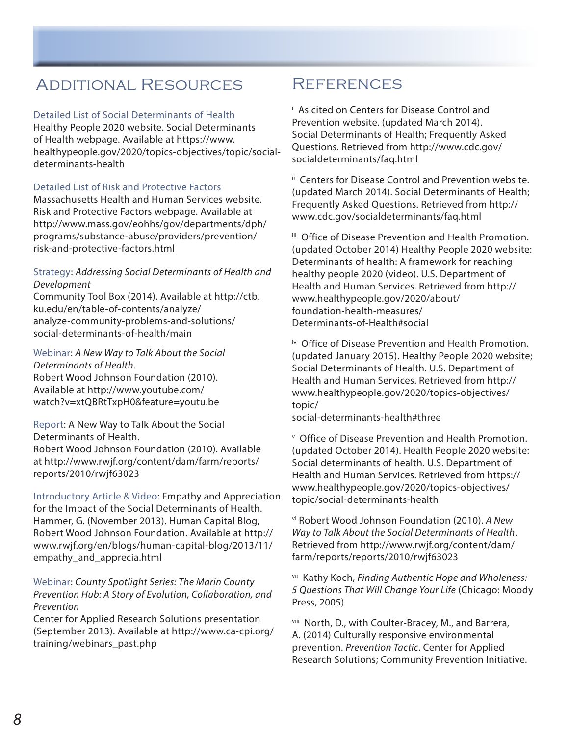# Additional Resources

#### Detailed List of Social Determinants of Health

Healthy People 2020 website. Social Determinants of Health webpage. Available at https://www. healthypeople.gov/2020/topics-objectives/topic/socialdeterminants-health

#### Detailed List of Risk and Protective Factors

Massachusetts Health and Human Services website. Risk and Protective Factors webpage. Available at http://www.mass.gov/eohhs/gov/departments/dph/ programs/substance-abuse/providers/prevention/ risk-and-protective-factors.html

#### Strategy: *Addressing Social Determinants of Health and Development*

Community Tool Box (2014). Available at http://ctb. ku.edu/en/table-of-contents/analyze/ analyze-community-problems-and-solutions/ social-determinants-of-health/main

Webinar: *A New Way to Talk About the Social Determinants of Health*. Robert Wood Johnson Foundation (2010). Available at http://www.youtube.com/ watch?v=xtQBRtTxpH0&feature=youtu.be

Report: A New Way to Talk About the Social Determinants of Health. Robert Wood Johnson Foundation (2010). Available at http://www.rwjf.org/content/dam/farm/reports/ reports/2010/rwjf63023

Introductory Article & Video: Empathy and Appreciation for the Impact of the Social Determinants of Health. Hammer, G. (November 2013). Human Capital Blog, Robert Wood Johnson Foundation. Available at http:// www.rwjf.org/en/blogs/human-capital-blog/2013/11/ empathy\_and\_apprecia.html

Webinar: *County Spotlight Series: The Marin County Prevention Hub: A Story of Evolution, Collaboration, and Prevention*

Center for Applied Research Solutions presentation (September 2013). Available at http://www.ca-cpi.org/ training/webinars\_past.php

# **REFERENCES**

i As cited on Centers for Disease Control and Prevention website. (updated March 2014). Social Determinants of Health; Frequently Asked Questions. Retrieved from http://www.cdc.gov/ socialdeterminants/faq.html

ii Centers for Disease Control and Prevention website. (updated March 2014). Social Determinants of Health; Frequently Asked Questions. Retrieved from http:// www.cdc.gov/socialdeterminants/faq.html

iii Office of Disease Prevention and Health Promotion. (updated October 2014) Healthy People 2020 website: Determinants of health: A framework for reaching healthy people 2020 (video). U.S. Department of Health and Human Services. Retrieved from http:// www.healthypeople.gov/2020/about/ foundation-health-measures/ Determinants-of-Health#social

iv Office of Disease Prevention and Health Promotion. (updated January 2015). Healthy People 2020 website; Social Determinants of Health. U.S. Department of Health and Human Services. Retrieved from http:// www.healthypeople.gov/2020/topics-objectives/ topic/

social-determinants-health#three

v Office of Disease Prevention and Health Promotion. (updated October 2014). Health People 2020 website: Social determinants of health. U.S. Department of Health and Human Services. Retrieved from https:// www.healthypeople.gov/2020/topics-objectives/ topic/social-determinants-health

vi Robert Wood Johnson Foundation (2010). *A New Way to Talk About the Social Determinants of Health*. Retrieved from http://www.rwjf.org/content/dam/ farm/reports/reports/2010/rwjf63023

vii Kathy Koch, *Finding Authentic Hope and Wholeness: 5 Questions That Will Change Your Life* (Chicago: Moody Press, 2005)

viii North, D., with Coulter-Bracey, M., and Barrera, A. (2014) Culturally responsive environmental prevention. *Prevention Tactic*. Center for Applied Research Solutions; Community Prevention Initiative.